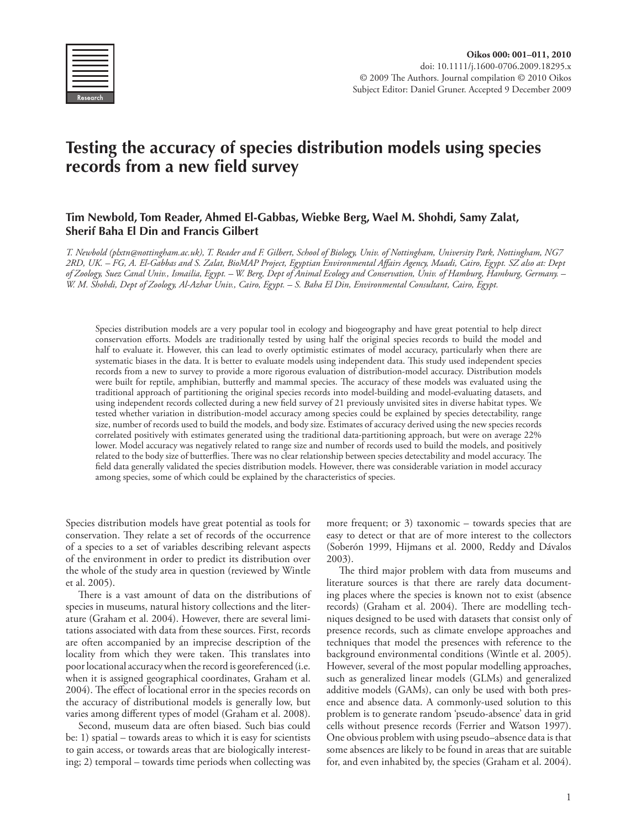| Research |
|----------|

# **Testing the accuracy of species distribution models using species records from a new field survey**

## **Tim Newbold, Tom Reader, Ahmed El-Gabbas, Wiebke Berg, Wael M. Shohdi, Samy Zalat, Sherif Baha El Din and Francis Gilbert**

*T. Newbold (plxtn@nottingham.ac.uk), T. Reader and F. Gilbert, School of Biology, Univ. of Nottingham, University Park, Nottingham, NG7 2RD, UK. – FG, A. El-Gabbas and S. Zalat, BioMAP Project, Egyptian Environmental Affairs Agency, Maadi, Cairo, Egypt. SZ also at: Dept of Zoology, Suez Canal Univ., Ismailia, Egypt. – W. Berg, Dept of Animal Ecology and Conservation, Univ. of Hamburg, Hamburg, Germany. – W. M. Shohdi, Dept of Zoology, Al-Azhar Univ., Cairo, Egypt. – S. Baha El Din, Environmental Consultant, Cairo, Egypt.*

Species distribution models are a very popular tool in ecology and biogeography and have great potential to help direct conservation efforts. Models are traditionally tested by using half the original species records to build the model and half to evaluate it. However, this can lead to overly optimistic estimates of model accuracy, particularly when there are systematic biases in the data. It is better to evaluate models using independent data. This study used independent species records from a new to survey to provide a more rigorous evaluation of distribution-model accuracy. Distribution models were built for reptile, amphibian, butterfly and mammal species. The accuracy of these models was evaluated using the traditional approach of partitioning the original species records into model-building and model-evaluating datasets, and using independent records collected during a new field survey of 21 previously unvisited sites in diverse habitat types. We tested whether variation in distribution-model accuracy among species could be explained by species detectability, range size, number of records used to build the models, and body size. Estimates of accuracy derived using the new species records correlated positively with estimates generated using the traditional data-partitioning approach, but were on average 22% lower. Model accuracy was negatively related to range size and number of records used to build the models, and positively related to the body size of butterflies. There was no clear relationship between species detectability and model accuracy. The field data generally validated the species distribution models. However, there was considerable variation in model accuracy among species, some of which could be explained by the characteristics of species.

Species distribution models have great potential as tools for conservation. They relate a set of records of the occurrence of a species to a set of variables describing relevant aspects of the environment in order to predict its distribution over the whole of the study area in question (reviewed by Wintle et al. 2005).

There is a vast amount of data on the distributions of species in museums, natural history collections and the literature (Graham et al. 2004). However, there are several limitations associated with data from these sources. First, records are often accompanied by an imprecise description of the locality from which they were taken. This translates into poor locational accuracy when the record is georeferenced (i.e. when it is assigned geographical coordinates, Graham et al. 2004). The effect of locational error in the species records on the accuracy of distributional models is generally low, but varies among different types of model (Graham et al. 2008).

Second, museum data are often biased. Such bias could be: 1) spatial – towards areas to which it is easy for scientists to gain access, or towards areas that are biologically interesting; 2) temporal – towards time periods when collecting was more frequent; or 3) taxonomic – towards species that are easy to detect or that are of more interest to the collectors (Soberón 1999, Hijmans et al. 2000, Reddy and Dávalos 2003).

The third major problem with data from museums and literature sources is that there are rarely data documenting places where the species is known not to exist (absence records) (Graham et al. 2004). There are modelling techniques designed to be used with datasets that consist only of presence records, such as climate envelope approaches and techniques that model the presences with reference to the background environmental conditions (Wintle et al. 2005). However, several of the most popular modelling approaches, such as generalized linear models (GLMs) and generalized additive models (GAMs), can only be used with both presence and absence data. A commonly-used solution to this problem is to generate random 'pseudo-absence' data in grid cells without presence records (Ferrier and Watson 1997). One obvious problem with using pseudo–absence data is that some absences are likely to be found in areas that are suitable for, and even inhabited by, the species (Graham et al. 2004).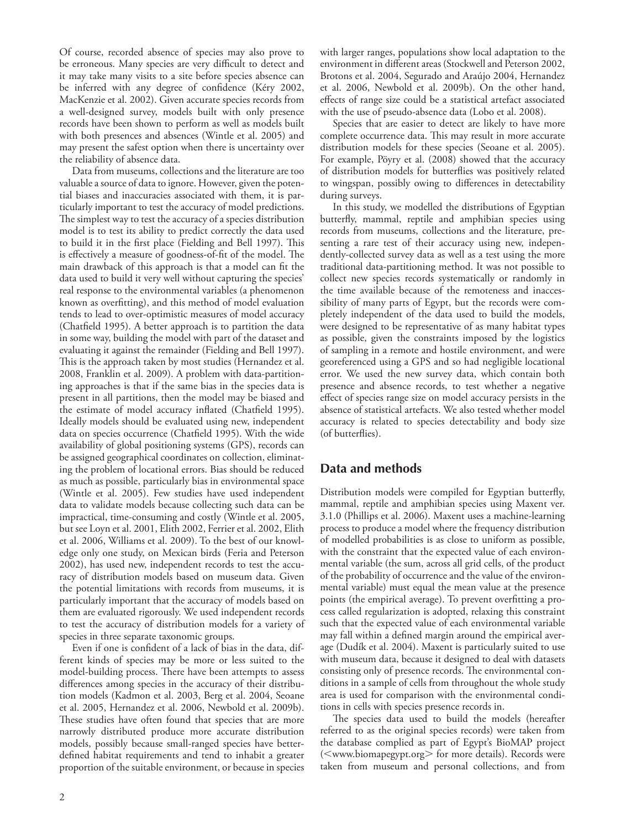Of course, recorded absence of species may also prove to be erroneous. Many species are very difficult to detect and it may take many visits to a site before species absence can be inferred with any degree of confidence (Kéry 2002, MacKenzie et al. 2002). Given accurate species records from a well-designed survey, models built with only presence records have been shown to perform as well as models built with both presences and absences (Wintle et al. 2005) and may present the safest option when there is uncertainty over the reliability of absence data.

Data from museums, collections and the literature are too valuable a source of data to ignore. However, given the potential biases and inaccuracies associated with them, it is particularly important to test the accuracy of model predictions. The simplest way to test the accuracy of a species distribution model is to test its ability to predict correctly the data used to build it in the first place (Fielding and Bell 1997). This is effectively a measure of goodness-of-fit of the model. The main drawback of this approach is that a model can fit the data used to build it very well without capturing the species' real response to the environmental variables (a phenomenon known as overfitting), and this method of model evaluation tends to lead to over-optimistic measures of model accuracy (Chatfield 1995). A better approach is to partition the data in some way, building the model with part of the dataset and evaluating it against the remainder (Fielding and Bell 1997). This is the approach taken by most studies (Hernandez et al. 2008, Franklin et al. 2009). A problem with data-partitioning approaches is that if the same bias in the species data is present in all partitions, then the model may be biased and the estimate of model accuracy inflated (Chatfield 1995). Ideally models should be evaluated using new, independent data on species occurrence (Chatfield 1995). With the wide availability of global positioning systems (GPS), records can be assigned geographical coordinates on collection, eliminating the problem of locational errors. Bias should be reduced as much as possible, particularly bias in environmental space (Wintle et al. 2005). Few studies have used independent data to validate models because collecting such data can be impractical, time-consuming and costly (Wintle et al. 2005, but see Loyn et al. 2001, Elith 2002, Ferrier et al. 2002, Elith et al. 2006, Williams et al. 2009). To the best of our knowledge only one study, on Mexican birds (Feria and Peterson 2002), has used new, independent records to test the accuracy of distribution models based on museum data. Given the potential limitations with records from museums, it is particularly important that the accuracy of models based on them are evaluated rigorously. We used independent records to test the accuracy of distribution models for a variety of species in three separate taxonomic groups.

Even if one is confident of a lack of bias in the data, different kinds of species may be more or less suited to the model-building process. There have been attempts to assess differences among species in the accuracy of their distribution models (Kadmon et al. 2003, Berg et al. 2004, Seoane et al. 2005, Hernandez et al. 2006, Newbold et al. 2009b). These studies have often found that species that are more narrowly distributed produce more accurate distribution models, possibly because small-ranged species have betterdefined habitat requirements and tend to inhabit a greater proportion of the suitable environment, or because in species with larger ranges, populations show local adaptation to the environment in different areas (Stockwell and Peterson 2002, Brotons et al. 2004, Segurado and Araújo 2004, Hernandez et al. 2006, Newbold et al. 2009b). On the other hand, effects of range size could be a statistical artefact associated with the use of pseudo-absence data (Lobo et al. 2008).

Species that are easier to detect are likely to have more complete occurrence data. This may result in more accurate distribution models for these species (Seoane et al. 2005). For example, Pöyry et al. (2008) showed that the accuracy of distribution models for butterflies was positively related to wingspan, possibly owing to differences in detectability during surveys.

In this study, we modelled the distributions of Egyptian butterfly, mammal, reptile and amphibian species using records from museums, collections and the literature, presenting a rare test of their accuracy using new, independently-collected survey data as well as a test using the more traditional data-partitioning method. It was not possible to collect new species records systematically or randomly in the time available because of the remoteness and inaccessibility of many parts of Egypt, but the records were completely independent of the data used to build the models, were designed to be representative of as many habitat types as possible, given the constraints imposed by the logistics of sampling in a remote and hostile environment, and were georeferenced using a GPS and so had negligible locational error. We used the new survey data, which contain both presence and absence records, to test whether a negative effect of species range size on model accuracy persists in the absence of statistical artefacts. We also tested whether model accuracy is related to species detectability and body size (of butterflies).

# **Data and methods**

Distribution models were compiled for Egyptian butterfly, mammal, reptile and amphibian species using Maxent ver. 3.1.0 (Phillips et al. 2006). Maxent uses a machine-learning process to produce a model where the frequency distribution of modelled probabilities is as close to uniform as possible, with the constraint that the expected value of each environmental variable (the sum, across all grid cells, of the product of the probability of occurrence and the value of the environmental variable) must equal the mean value at the presence points (the empirical average). To prevent overfitting a process called regularization is adopted, relaxing this constraint such that the expected value of each environmental variable may fall within a defined margin around the empirical average (Dudík et al. 2004). Maxent is particularly suited to use with museum data, because it designed to deal with datasets consisting only of presence records. The environmental conditions in a sample of cells from throughout the whole study area is used for comparison with the environmental conditions in cells with species presence records in.

The species data used to build the models (hereafter referred to as the original species records) were taken from the database complied as part of Egypt's BioMAP project (<www.biomapegypt.org> for more details). Records were taken from museum and personal collections, and from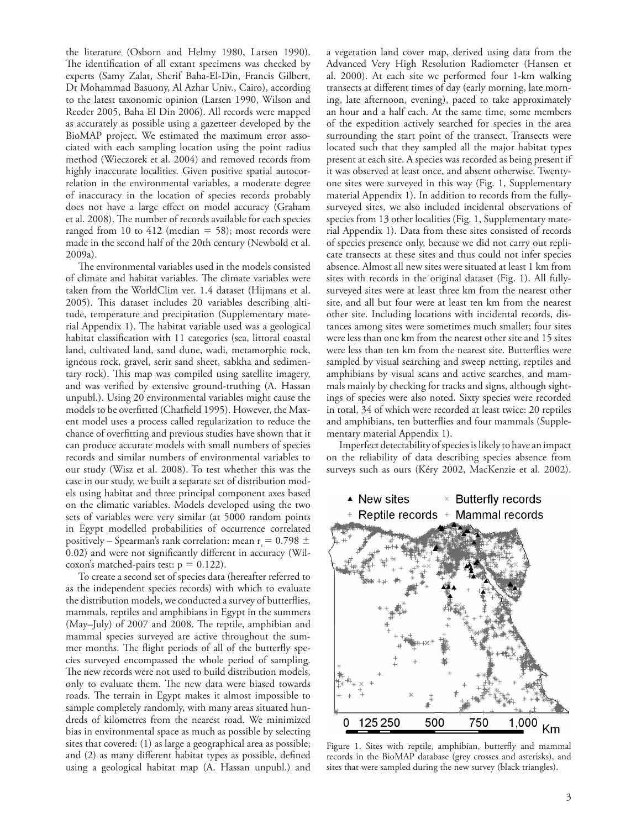the literature (Osborn and Helmy 1980, Larsen 1990). The identification of all extant specimens was checked by experts (Samy Zalat, Sherif Baha-El-Din, Francis Gilbert, Dr Mohammad Basuony, Al Azhar Univ., Cairo), according to the latest taxonomic opinion (Larsen 1990, Wilson and Reeder 2005, Baha El Din 2006). All records were mapped as accurately as possible using a gazetteer developed by the BioMAP project. We estimated the maximum error associated with each sampling location using the point radius method (Wieczorek et al. 2004) and removed records from highly inaccurate localities. Given positive spatial autocorrelation in the environmental variables, a moderate degree of inaccuracy in the location of species records probably does not have a large effect on model accuracy (Graham et al. 2008). The number of records available for each species ranged from 10 to 412 (median  $=$  58); most records were made in the second half of the 20th century (Newbold et al. 2009a).

The environmental variables used in the models consisted of climate and habitat variables. The climate variables were taken from the WorldClim ver. 1.4 dataset (Hijmans et al. 2005). This dataset includes 20 variables describing altitude, temperature and precipitation (Supplementary material Appendix 1). The habitat variable used was a geological habitat classification with 11 categories (sea, littoral coastal land, cultivated land, sand dune, wadi, metamorphic rock, igneous rock, gravel, serir sand sheet, sabkha and sedimentary rock). This map was compiled using satellite imagery, and was verified by extensive ground-truthing (A. Hassan unpubl.). Using 20 environmental variables might cause the models to be overfitted (Chatfield 1995). However, the Maxent model uses a process called regularization to reduce the chance of overfitting and previous studies have shown that it can produce accurate models with small numbers of species records and similar numbers of environmental variables to our study (Wisz et al. 2008). To test whether this was the case in our study, we built a separate set of distribution models using habitat and three principal component axes based on the climatic variables. Models developed using the two sets of variables were very similar (at 5000 random points in Egypt modelled probabilities of occurrence correlated positively – Spearman's rank correlation: mean  $r_s = 0.798 \pm 0.798$ 0.02) and were not significantly different in accuracy (Wilcoxon's matched-pairs test:  $p = 0.122$ ).

To create a second set of species data (hereafter referred to as the independent species records) with which to evaluate the distribution models, we conducted a survey of butterflies, mammals, reptiles and amphibians in Egypt in the summers (May–July) of 2007 and 2008. The reptile, amphibian and mammal species surveyed are active throughout the summer months. The flight periods of all of the butterfly species surveyed encompassed the whole period of sampling. The new records were not used to build distribution models, only to evaluate them. The new data were biased towards roads. The terrain in Egypt makes it almost impossible to sample completely randomly, with many areas situated hundreds of kilometres from the nearest road. We minimized bias in environmental space as much as possible by selecting sites that covered: (1) as large a geographical area as possible; and (2) as many different habitat types as possible, defined using a geological habitat map (A. Hassan unpubl.) and a vegetation land cover map, derived using data from the Advanced Very High Resolution Radiometer (Hansen et al. 2000). At each site we performed four 1-km walking transects at different times of day (early morning, late morning, late afternoon, evening), paced to take approximately an hour and a half each. At the same time, some members of the expedition actively searched for species in the area surrounding the start point of the transect. Transects were located such that they sampled all the major habitat types present at each site. A species was recorded as being present if it was observed at least once, and absent otherwise. Twentyone sites were surveyed in this way (Fig. 1, Supplementary material Appendix 1). In addition to records from the fullysurveyed sites, we also included incidental observations of species from 13 other localities (Fig. 1, Supplementary material Appendix 1). Data from these sites consisted of records of species presence only, because we did not carry out replicate transects at these sites and thus could not infer species absence. Almost all new sites were situated at least 1 km from sites with records in the original dataset (Fig. 1). All fullysurveyed sites were at least three km from the nearest other site, and all but four were at least ten km from the nearest other site. Including locations with incidental records, distances among sites were sometimes much smaller; four sites were less than one km from the nearest other site and 15 sites were less than ten km from the nearest site. Butterflies were sampled by visual searching and sweep netting, reptiles and amphibians by visual scans and active searches, and mammals mainly by checking for tracks and signs, although sightings of species were also noted. Sixty species were recorded in total, 34 of which were recorded at least twice: 20 reptiles and amphibians, ten butterflies and four mammals (Supplementary material Appendix 1).

Imperfect detectability of species is likely to have an impact on the reliability of data describing species absence from surveys such as ours (Kéry 2002, MacKenzie et al. 2002).



Figure 1. Sites with reptile, amphibian, butterfly and mammal records in the BioMAP database (grey crosses and asterisks), and sites that were sampled during the new survey (black triangles).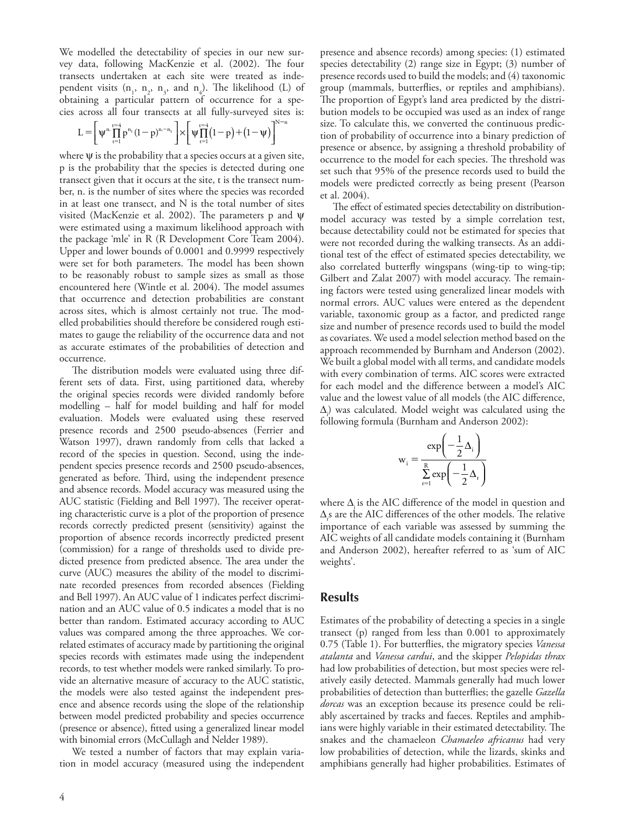We modelled the detectability of species in our new survey data, following MacKenzie et al. (2002). The four transects undertaken at each site were treated as independent visits  $(n_1, n_2, n_3,$  and  $n_4)$ . The likelihood (L) of obtaining a particular pattern of occurrence for a species across all four transects at all fully-surveyed sites is:

$$
L = \left[ \psi^{n} \prod_{t=1}^{t=4} p^{n_t} (1-p)^{n-n_t} \right] \times \left[ \psi \prod_{t=1}^{t=4} (1-p) + (1-\psi) \right]^{N-n}
$$

where  $\Psi$  is the probability that a species occurs at a given site, p is the probability that the species is detected during one transect given that it occurs at the site, t is the transect number, n. is the number of sites where the species was recorded in at least one transect, and N is the total number of sites visited (MacKenzie et al. 2002). The parameters p and  $\Psi$ were estimated using a maximum likelihood approach with the package 'mle' in R (R Development Core Team 2004). Upper and lower bounds of 0.0001 and 0.9999 respectively were set for both parameters. The model has been shown to be reasonably robust to sample sizes as small as those encountered here (Wintle et al. 2004). The model assumes that occurrence and detection probabilities are constant across sites, which is almost certainly not true. The modelled probabilities should therefore be considered rough estimates to gauge the reliability of the occurrence data and not as accurate estimates of the probabilities of detection and occurrence.

The distribution models were evaluated using three different sets of data. First, using partitioned data, whereby the original species records were divided randomly before modelling – half for model building and half for model evaluation. Models were evaluated using these reserved presence records and 2500 pseudo-absences (Ferrier and Watson 1997), drawn randomly from cells that lacked a record of the species in question. Second, using the independent species presence records and 2500 pseudo-absences, generated as before. Third, using the independent presence and absence records. Model accuracy was measured using the AUC statistic (Fielding and Bell 1997). The receiver operating characteristic curve is a plot of the proportion of presence records correctly predicted present (sensitivity) against the proportion of absence records incorrectly predicted present (commission) for a range of thresholds used to divide predicted presence from predicted absence. The area under the curve (AUC) measures the ability of the model to discriminate recorded presences from recorded absences (Fielding and Bell 1997). An AUC value of 1 indicates perfect discrimination and an AUC value of 0.5 indicates a model that is no better than random. Estimated accuracy according to AUC values was compared among the three approaches. We correlated estimates of accuracy made by partitioning the original species records with estimates made using the independent records, to test whether models were ranked similarly. To provide an alternative measure of accuracy to the AUC statistic, the models were also tested against the independent presence and absence records using the slope of the relationship between model predicted probability and species occurrence (presence or absence), fitted using a generalized linear model with binomial errors (McCullagh and Nelder 1989).

We tested a number of factors that may explain variation in model accuracy (measured using the independent presence and absence records) among species: (1) estimated species detectability (2) range size in Egypt; (3) number of presence records used to build the models; and (4) taxonomic group (mammals, butterflies, or reptiles and amphibians). The proportion of Egypt's land area predicted by the distribution models to be occupied was used as an index of range size. To calculate this, we converted the continuous prediction of probability of occurrence into a binary prediction of presence or absence, by assigning a threshold probability of occurrence to the model for each species. The threshold was set such that 95% of the presence records used to build the models were predicted correctly as being present (Pearson et al. 2004).

The effect of estimated species detectability on distributionmodel accuracy was tested by a simple correlation test, because detectability could not be estimated for species that were not recorded during the walking transects. As an additional test of the effect of estimated species detectability, we also correlated butterfly wingspans (wing-tip to wing-tip; Gilbert and Zalat 2007) with model accuracy. The remaining factors were tested using generalized linear models with normal errors. AUC values were entered as the dependent variable, taxonomic group as a factor, and predicted range size and number of presence records used to build the model as covariates. We used a model selection method based on the approach recommended by Burnham and Anderson (2002). We built a global model with all terms, and candidate models with every combination of terms. AIC scores were extracted for each model and the difference between a model's AIC value and the lowest value of all models (the AIC difference,  $\Delta$ ) was calculated. Model weight was calculated using the following formula (Burnham and Anderson 2002):

$$
\mathbf{w}_{i} = \frac{\exp\left(-\frac{1}{2}\Delta_{i}\right)}{\sum_{r=1}^{R} \exp\left(-\frac{1}{2}\Delta_{r}\right)}
$$

where  $\Delta$  is the AIC difference of the model in question and  $\Delta$ <sub>s</sub> are the AIC differences of the other models. The relative importance of each variable was assessed by summing the AIC weights of all candidate models containing it (Burnham and Anderson 2002), hereafter referred to as 'sum of AIC weights'.

#### **Results**

Estimates of the probability of detecting a species in a single transect (p) ranged from less than 0.001 to approximately 0.75 (Table 1). For butterflies, the migratory species *Vanessa atalanta* and *Vanessa cardui*, and the skipper *Pelopidas thrax* had low probabilities of detection, but most species were relatively easily detected. Mammals generally had much lower probabilities of detection than butterflies; the gazelle *Gazella dorcas* was an exception because its presence could be reliably ascertained by tracks and faeces. Reptiles and amphibians were highly variable in their estimated detectability. The snakes and the chamaeleon *Chamaeleo africanus* had very low probabilities of detection, while the lizards, skinks and amphibians generally had higher probabilities. Estimates of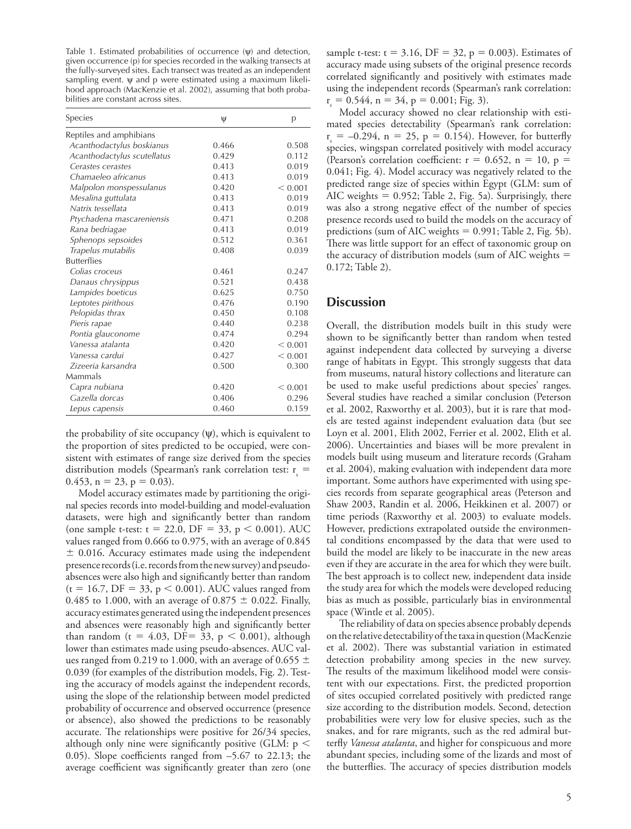Table 1. Estimated probabilities of occurrence  $(\psi)$  and detection, given occurrence (p) for species recorded in the walking transects at the fully-surveyed sites. Each transect was treated as an independent sampling event.  $\psi$  and p were estimated using a maximum likelihood approach (MacKenzie et al. 2002), assuming that both probabilities are constant across sites.

| Species                     | Ψ     | p       |
|-----------------------------|-------|---------|
| Reptiles and amphibians     |       |         |
| Acanthodactylus boskianus   | 0.466 | 0.508   |
| Acanthodactylus scutellatus | 0.429 | 0.112   |
| Cerastes cerastes           | 0.413 | 0.019   |
| Chamaeleo africanus         | 0.413 | 0.019   |
| Malpolon monspessulanus     | 0.420 | < 0.001 |
| Mesalina guttulata          | 0.413 | 0.019   |
| Natrix tessellata           | 0.413 | 0.019   |
| Ptychadena mascareniensis   | 0.471 | 0.208   |
| Rana bedriagae              | 0.413 | 0.019   |
| Sphenops sepsoides          | 0.512 | 0.361   |
| Trapelus mutabilis          | 0.408 | 0.039   |
| <b>Butterflies</b>          |       |         |
| Colias croceus              | 0.461 | 0.247   |
| Danaus chrysippus           | 0.521 | 0.438   |
| Lampides boeticus           | 0.625 | 0.750   |
| Leptotes pirithous          | 0.476 | 0.190   |
| Pelopidas thrax             | 0.450 | 0.108   |
| Pieris rapae                | 0.440 | 0.238   |
| Pontia glauconome           | 0.474 | 0.294   |
| Vanessa atalanta            | 0.420 | < 0.001 |
| Vanessa cardui              | 0.427 | < 0.001 |
| Zizeeria karsandra          | 0.500 | 0.300   |
| Mammals                     |       |         |
| Capra nubiana               | 0.420 | < 0.001 |
| Gazella dorcas              | 0.406 | 0.296   |
| Lepus capensis              | 0.460 | 0.159   |

the probability of site occupancy  $(\psi)$ , which is equivalent to the proportion of sites predicted to be occupied, were consistent with estimates of range size derived from the species distribution models (Spearman's rank correlation test:  $r_s$  = 0.453,  $n = 23$ ,  $p = 0.03$ ).

Model accuracy estimates made by partitioning the original species records into model-building and model-evaluation datasets, were high and significantly better than random (one sample t-test:  $t = 22.0$ , DF = 33, p < 0.001). AUC values ranged from 0.666 to 0.975, with an average of 0.845  $\pm$  0.016. Accuracy estimates made using the independent presence records (i.e. records from the new survey) and pseudoabsences were also high and significantly better than random  $(t = 16.7, DF = 33, p < 0.001)$ . AUC values ranged from 0.485 to 1.000, with an average of 0.875  $\pm$  0.022. Finally, accuracy estimates generated using the independent presences and absences were reasonably high and significantly better than random ( $t = 4.03$ , DF= 33,  $p < 0.001$ ), although lower than estimates made using pseudo-absences. AUC values ranged from 0.219 to 1.000, with an average of 0.655  $\pm$ 0.039 (for examples of the distribution models, Fig. 2). Testing the accuracy of models against the independent records, using the slope of the relationship between model predicted probability of occurrence and observed occurrence (presence or absence), also showed the predictions to be reasonably accurate. The relationships were positive for 26/34 species, although only nine were significantly positive (GLM:  $p \le$ 0.05). Slope coefficients ranged from –5.67 to 22.13; the average coefficient was significantly greater than zero (one sample t-test:  $t = 3.16$ ,  $DF = 32$ ,  $p = 0.003$ ). Estimates of accuracy made using subsets of the original presence records correlated significantly and positively with estimates made using the independent records (Spearman's rank correlation:  $r_s = 0.544$ ,  $n = 34$ ,  $p = 0.001$ ; Fig. 3).

Model accuracy showed no clear relationship with estimated species detectability (Spearman's rank correlation:  $r_s = -0.294$ , n = 25, p = 0.154). However, for butterfly species, wingspan correlated positively with model accuracy (Pearson's correlation coefficient:  $r = 0.652$ ,  $n = 10$ ,  $p =$ 0.041; Fig. 4). Model accuracy was negatively related to the predicted range size of species within Egypt (GLM: sum of AIC weights  $= 0.952$ ; Table 2, Fig. 5a). Surprisingly, there was also a strong negative effect of the number of species presence records used to build the models on the accuracy of predictions (sum of AIC weights  $= 0.991$ ; Table 2, Fig. 5b). There was little support for an effect of taxonomic group on the accuracy of distribution models (sum of AIC weights 0.172; Table 2).

### **Discussion**

Overall, the distribution models built in this study were shown to be significantly better than random when tested against independent data collected by surveying a diverse range of habitats in Egypt. This strongly suggests that data from museums, natural history collections and literature can be used to make useful predictions about species' ranges. Several studies have reached a similar conclusion (Peterson et al. 2002, Raxworthy et al. 2003), but it is rare that models are tested against independent evaluation data (but see Loyn et al. 2001, Elith 2002, Ferrier et al. 2002, Elith et al. 2006). Uncertainties and biases will be more prevalent in models built using museum and literature records (Graham et al. 2004), making evaluation with independent data more important. Some authors have experimented with using species records from separate geographical areas (Peterson and Shaw 2003, Randin et al. 2006, Heikkinen et al. 2007) or time periods (Raxworthy et al. 2003) to evaluate models. However, predictions extrapolated outside the environmental conditions encompassed by the data that were used to build the model are likely to be inaccurate in the new areas even if they are accurate in the area for which they were built. The best approach is to collect new, independent data inside the study area for which the models were developed reducing bias as much as possible, particularly bias in environmental space (Wintle et al. 2005).

The reliability of data on species absence probably depends on the relative detectability of the taxa in question (MacKenzie et al. 2002). There was substantial variation in estimated detection probability among species in the new survey. The results of the maximum likelihood model were consistent with our expectations. First, the predicted proportion of sites occupied correlated positively with predicted range size according to the distribution models. Second, detection probabilities were very low for elusive species, such as the snakes, and for rare migrants, such as the red admiral butterfly *Vanessa atalanta*, and higher for conspicuous and more abundant species, including some of the lizards and most of the butterflies. The accuracy of species distribution models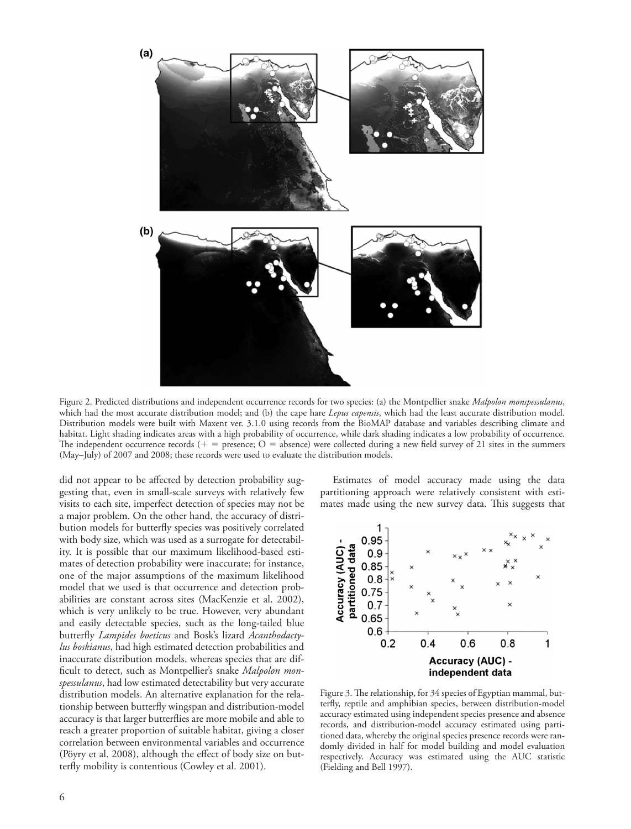

Figure 2. Predicted distributions and independent occurrence records for two species: (a) the Montpellier snake *Malpolon monspessulanus*, which had the most accurate distribution model; and (b) the cape hare *Lepus capensis*, which had the least accurate distribution model. Distribution models were built with Maxent ver. 3.1.0 using records from the BioMAP database and variables describing climate and habitat. Light shading indicates areas with a high probability of occurrence, while dark shading indicates a low probability of occurrence. The independent occurrence records  $($   $=$   $=$  presence; O  $=$  absence) were collected during a new field survey of 21 sites in the summers (May–July) of 2007 and 2008; these records were used to evaluate the distribution models.

did not appear to be affected by detection probability suggesting that, even in small-scale surveys with relatively few visits to each site, imperfect detection of species may not be a major problem. On the other hand, the accuracy of distribution models for butterfly species was positively correlated with body size, which was used as a surrogate for detectability. It is possible that our maximum likelihood-based estimates of detection probability were inaccurate; for instance, one of the major assumptions of the maximum likelihood model that we used is that occurrence and detection probabilities are constant across sites (MacKenzie et al. 2002), which is very unlikely to be true. However, very abundant and easily detectable species, such as the long-tailed blue butterfly *Lampides boeticus* and Bosk's lizard *Acanthodactylus boskianus*, had high estimated detection probabilities and inaccurate distribution models, whereas species that are difficult to detect, such as Montpellier's snake *Malpolon monspessulanus*, had low estimated detectability but very accurate distribution models. An alternative explanation for the relationship between butterfly wingspan and distribution-model accuracy is that larger butterflies are more mobile and able to reach a greater proportion of suitable habitat, giving a closer correlation between environmental variables and occurrence (Pöyry et al. 2008), although the effect of body size on butterfly mobility is contentious (Cowley et al. 2001).

6

Estimates of model accuracy made using the data partitioning approach were relatively consistent with estimates made using the new survey data. This suggests that



Figure 3. The relationship, for 34 species of Egyptian mammal, butterfly, reptile and amphibian species, between distribution-model accuracy estimated using independent species presence and absence records, and distribution-model accuracy estimated using partitioned data, whereby the original species presence records were randomly divided in half for model building and model evaluation respectively. Accuracy was estimated using the AUC statistic (Fielding and Bell 1997).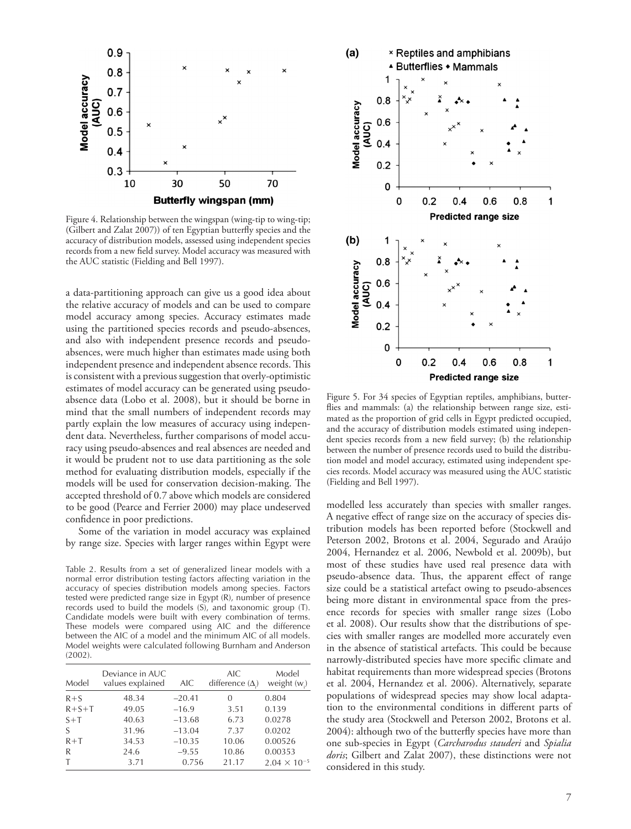

Figure 4. Relationship between the wingspan (wing-tip to wing-tip; (Gilbert and Zalat 2007)) of ten Egyptian butterfly species and the accuracy of distribution models, assessed using independent species records from a new field survey. Model accuracy was measured with the AUC statistic (Fielding and Bell 1997).

a data-partitioning approach can give us a good idea about the relative accuracy of models and can be used to compare model accuracy among species. Accuracy estimates made using the partitioned species records and pseudo-absences, and also with independent presence records and pseudoabsences, were much higher than estimates made using both independent presence and independent absence records. This is consistent with a previous suggestion that overly-optimistic estimates of model accuracy can be generated using pseudoabsence data (Lobo et al. 2008), but it should be borne in mind that the small numbers of independent records may partly explain the low measures of accuracy using independent data. Nevertheless, further comparisons of model accuracy using pseudo-absences and real absences are needed and it would be prudent not to use data partitioning as the sole method for evaluating distribution models, especially if the models will be used for conservation decision-making. The accepted threshold of 0.7 above which models are considered to be good (Pearce and Ferrier 2000) may place undeserved confidence in poor predictions.

Some of the variation in model accuracy was explained by range size. Species with larger ranges within Egypt were

Table 2. Results from a set of generalized linear models with a normal error distribution testing factors affecting variation in the accuracy of species distribution models among species. Factors tested were predicted range size in Egypt (R), number of presence records used to build the models (S), and taxonomic group (T). Candidate models were built with every combination of terms. These models were compared using AIC and the difference between the AIC of a model and the minimum AIC of all models. Model weights were calculated following Burnham and Anderson (2002).

| Model        | Deviance in AUC<br>values explained | <b>AIC</b> | <b>AIC</b><br>difference $(\Delta)$ | Model<br>weight $(w_i)$ |
|--------------|-------------------------------------|------------|-------------------------------------|-------------------------|
| $R + S$      | 48.34                               | $-20.41$   | 0                                   | 0.804                   |
| $R + S + T$  | 49.05                               | $-16.9$    | 3.51                                | 0.139                   |
| $S+T$        | 40.63                               | $-13.68$   | 6.73                                | 0.0278                  |
| <sup>S</sup> | 31.96                               | $-13.04$   | 7.37                                | 0.0202                  |
| $R+T$        | 34.53                               | $-10.35$   | 10.06                               | 0.00526                 |
| R            | 24.6                                | $-9.55$    | 10.86                               | 0.00353                 |
|              | 3.71                                | 0.756      | 21.17                               | $2.04 \times 10^{-5}$   |



Figure 5. For 34 species of Egyptian reptiles, amphibians, butterflies and mammals: (a) the relationship between range size, estimated as the proportion of grid cells in Egypt predicted occupied, and the accuracy of distribution models estimated using independent species records from a new field survey; (b) the relationship between the number of presence records used to build the distribution model and model accuracy, estimated using independent species records. Model accuracy was measured using the AUC statistic (Fielding and Bell 1997).

modelled less accurately than species with smaller ranges. A negative effect of range size on the accuracy of species distribution models has been reported before (Stockwell and Peterson 2002, Brotons et al. 2004, Segurado and Araújo 2004, Hernandez et al. 2006, Newbold et al. 2009b), but most of these studies have used real presence data with pseudo-absence data. Thus, the apparent effect of range size could be a statistical artefact owing to pseudo-absences being more distant in environmental space from the presence records for species with smaller range sizes (Lobo et al. 2008). Our results show that the distributions of species with smaller ranges are modelled more accurately even in the absence of statistical artefacts. This could be because narrowly-distributed species have more specific climate and habitat requirements than more widespread species (Brotons et al. 2004, Hernandez et al. 2006). Alternatively, separate populations of widespread species may show local adaptation to the environmental conditions in different parts of the study area (Stockwell and Peterson 2002, Brotons et al. 2004): although two of the butterfly species have more than one sub-species in Egypt (*Carcharodus stauderi* and *Spialia doris*; Gilbert and Zalat 2007), these distinctions were not considered in this study.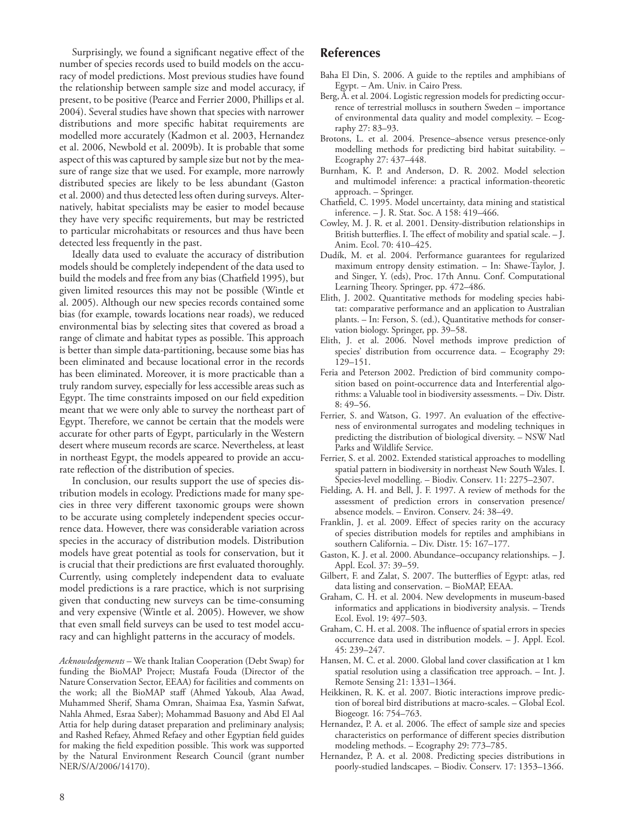Surprisingly, we found a significant negative effect of the number of species records used to build models on the accuracy of model predictions. Most previous studies have found the relationship between sample size and model accuracy, if present, to be positive (Pearce and Ferrier 2000, Phillips et al. 2004). Several studies have shown that species with narrower distributions and more specific habitat requirements are modelled more accurately (Kadmon et al. 2003, Hernandez et al. 2006, Newbold et al. 2009b). It is probable that some aspect of this was captured by sample size but not by the measure of range size that we used. For example, more narrowly distributed species are likely to be less abundant (Gaston et al. 2000) and thus detected less often during surveys. Alternatively, habitat specialists may be easier to model because they have very specific requirements, but may be restricted to particular microhabitats or resources and thus have been detected less frequently in the past.

Ideally data used to evaluate the accuracy of distribution models should be completely independent of the data used to build the models and free from any bias (Chatfield 1995), but given limited resources this may not be possible (Wintle et al. 2005). Although our new species records contained some bias (for example, towards locations near roads), we reduced environmental bias by selecting sites that covered as broad a range of climate and habitat types as possible. This approach is better than simple data-partitioning, because some bias has been eliminated and because locational error in the records has been eliminated. Moreover, it is more practicable than a truly random survey, especially for less accessible areas such as Egypt. The time constraints imposed on our field expedition meant that we were only able to survey the northeast part of Egypt. Therefore, we cannot be certain that the models were accurate for other parts of Egypt, particularly in the Western desert where museum records are scarce. Nevertheless, at least in northeast Egypt, the models appeared to provide an accurate reflection of the distribution of species.

In conclusion, our results support the use of species distribution models in ecology. Predictions made for many species in three very different taxonomic groups were shown to be accurate using completely independent species occurrence data. However, there was considerable variation across species in the accuracy of distribution models. Distribution models have great potential as tools for conservation, but it is crucial that their predictions are first evaluated thoroughly. Currently, using completely independent data to evaluate model predictions is a rare practice, which is not surprising given that conducting new surveys can be time-consuming and very expensive (Wintle et al. 2005). However, we show that even small field surveys can be used to test model accuracy and can highlight patterns in the accuracy of models.

*Acknowledgements –* We thank Italian Cooperation (Debt Swap) for funding the BioMAP Project; Mustafa Fouda (Director of the Nature Conservation Sector, EEAA) for facilities and comments on the work; all the BioMAP staff (Ahmed Yakoub, Alaa Awad, Muhammed Sherif, Shama Omran, Shaimaa Esa, Yasmin Safwat, Nahla Ahmed, Esraa Saber); Mohammad Basuony and Abd El Aal Attia for help during dataset preparation and preliminary analysis; and Rashed Refaey, Ahmed Refaey and other Egyptian field guides for making the field expedition possible. This work was supported by the Natural Environment Research Council (grant number NER/S/A/2006/14170).

## **References**

- Baha El Din, S. 2006. A guide to the reptiles and amphibians of Egypt. – Am. Univ. in Cairo Press.
- Berg, Å. et al. 2004. Logistic regression models for predicting occurrence of terrestrial molluscs in southern Sweden – importance of environmental data quality and model complexity. – Ecography 27: 83–93.
- Brotons, L. et al. 2004. Presence–absence versus presence-only modelling methods for predicting bird habitat suitability. – Ecography 27: 437–448.
- Burnham, K. P. and Anderson, D. R. 2002. Model selection and multimodel inference: a practical information-theoretic approach. – Springer.
- Chatfield, C. 1995. Model uncertainty, data mining and statistical inference. – J. R. Stat. Soc. A 158: 419–466.
- Cowley, M. J. R. et al. 2001. Density-distribution relationships in British butterflies. I. The effect of mobility and spatial scale. – J. Anim. Ecol. 70: 410–425.
- Dudík, M. et al. 2004. Performance guarantees for regularized maximum entropy density estimation. – In: Shawe-Taylor, J. and Singer, Y. (eds), Proc. 17th Annu. Conf. Computational Learning Theory. Springer, pp. 472–486.
- Elith, J. 2002. Quantitative methods for modeling species habitat: comparative performance and an application to Australian plants. – In: Ferson, S. (ed.), Quantitative methods for conservation biology. Springer, pp. 39–58.
- Elith, J. et al. 2006. Novel methods improve prediction of species' distribution from occurrence data. – Ecography 29: 129–151.
- Feria and Peterson 2002. Prediction of bird community composition based on point-occurrence data and Interferential algorithms: a Valuable tool in biodiversity assessments. – Div. Distr. 8: 49–56.
- Ferrier, S. and Watson, G. 1997. An evaluation of the effectiveness of environmental surrogates and modeling techniques in predicting the distribution of biological diversity. – NSW Natl Parks and Wildlife Service.
- Ferrier, S. et al. 2002. Extended statistical approaches to modelling spatial pattern in biodiversity in northeast New South Wales. I. Species-level modelling. – Biodiv. Conserv. 11: 2275–2307.
- Fielding, A. H. and Bell, J. F. 1997. A review of methods for the assessment of prediction errors in conservation presence/ absence models. – Environ. Conserv. 24: 38–49.
- Franklin, J. et al. 2009. Effect of species rarity on the accuracy of species distribution models for reptiles and amphibians in southern California. – Div. Distr. 15: 167–177.
- Gaston, K. J. et al. 2000. Abundance–occupancy relationships. J. Appl. Ecol. 37: 39–59.
- Gilbert, F. and Zalat, S. 2007. The butterflies of Egypt: atlas, red data listing and conservation. – BioMAP, EEAA.
- Graham, C. H. et al. 2004. New developments in museum-based informatics and applications in biodiversity analysis. – Trends Ecol. Evol. 19: 497–503.
- Graham, C. H. et al. 2008. The influence of spatial errors in species occurrence data used in distribution models. – J. Appl. Ecol. 45: 239–247.
- Hansen, M. C. et al. 2000. Global land cover classification at 1 km spatial resolution using a classification tree approach. – Int. J. Remote Sensing 21: 1331–1364.
- Heikkinen, R. K. et al. 2007. Biotic interactions improve prediction of boreal bird distributions at macro-scales. – Global Ecol. Biogeogr. 16: 754–763.
- Hernandez, P. A. et al. 2006. The effect of sample size and species characteristics on performance of different species distribution modeling methods. – Ecography 29: 773–785.
- Hernandez, P. A. et al. 2008. Predicting species distributions in poorly-studied landscapes. – Biodiv. Conserv. 17: 1353–1366.